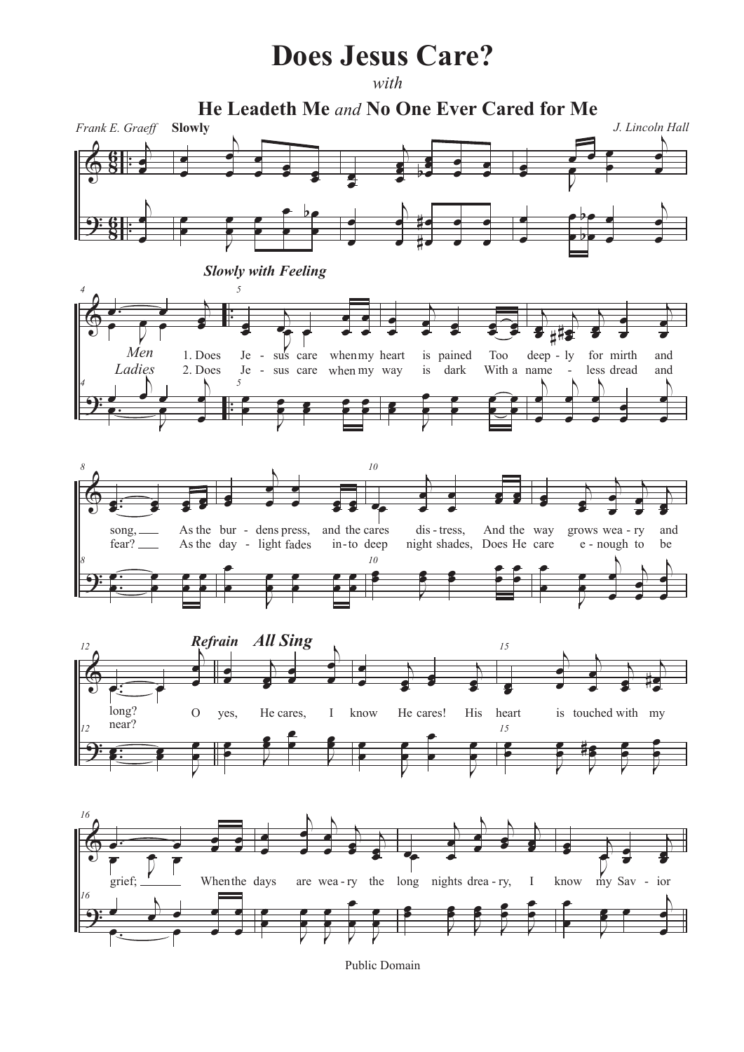## **Does Jesus Care?**

*with*



Public Domain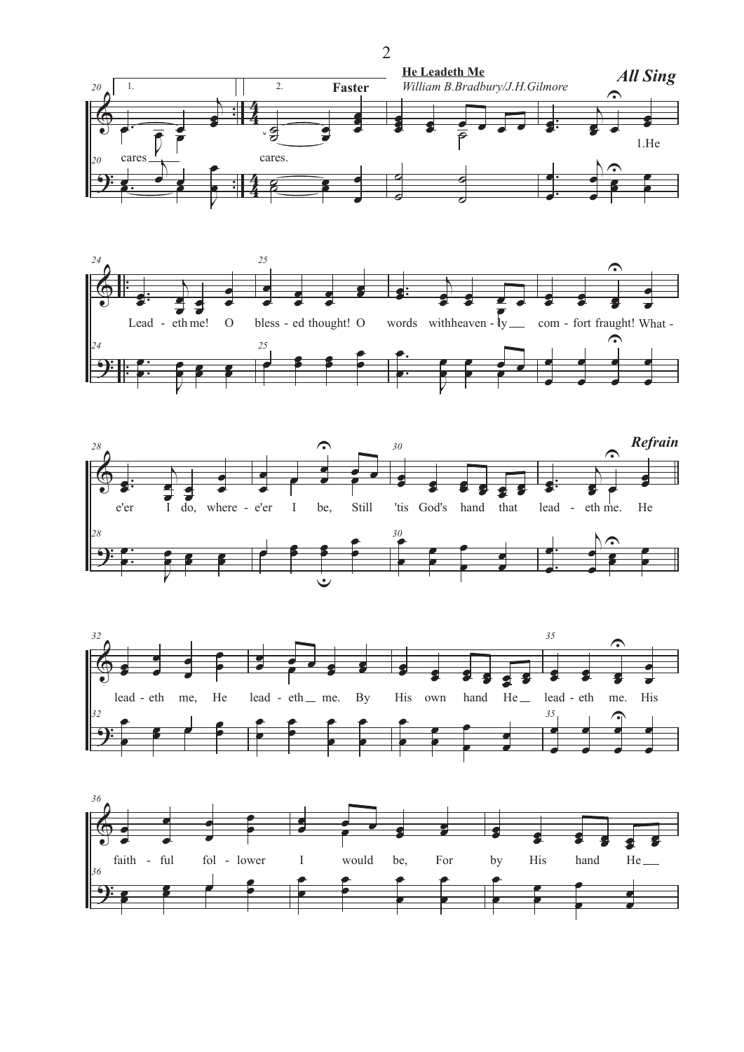









 $\overline{2}$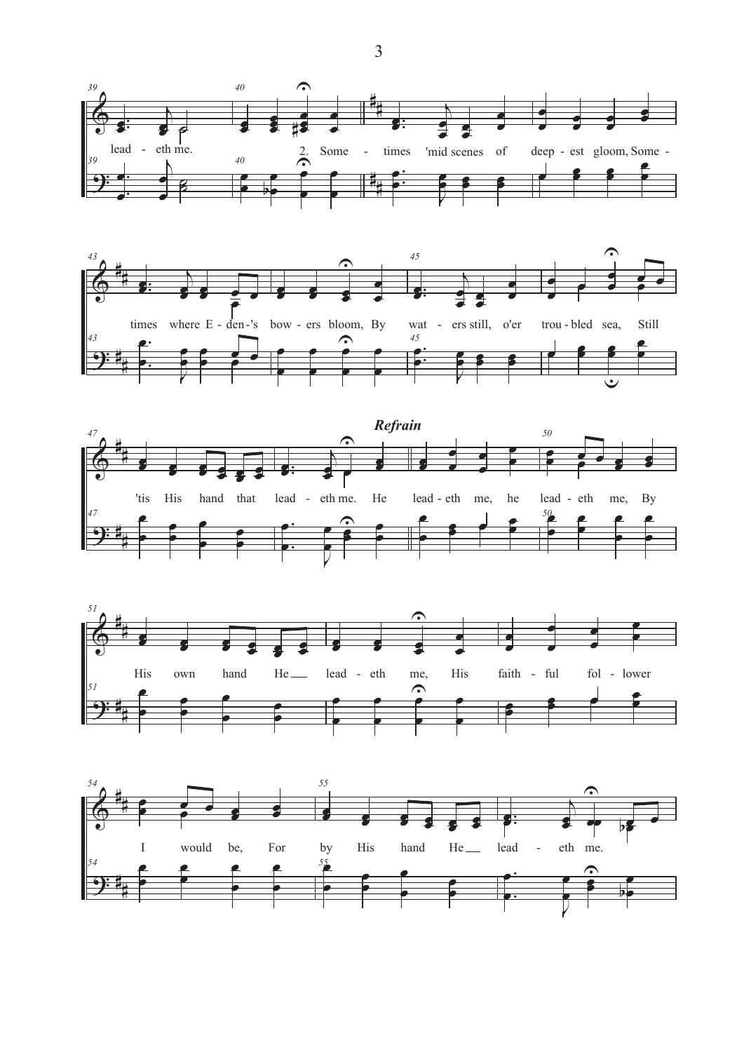









3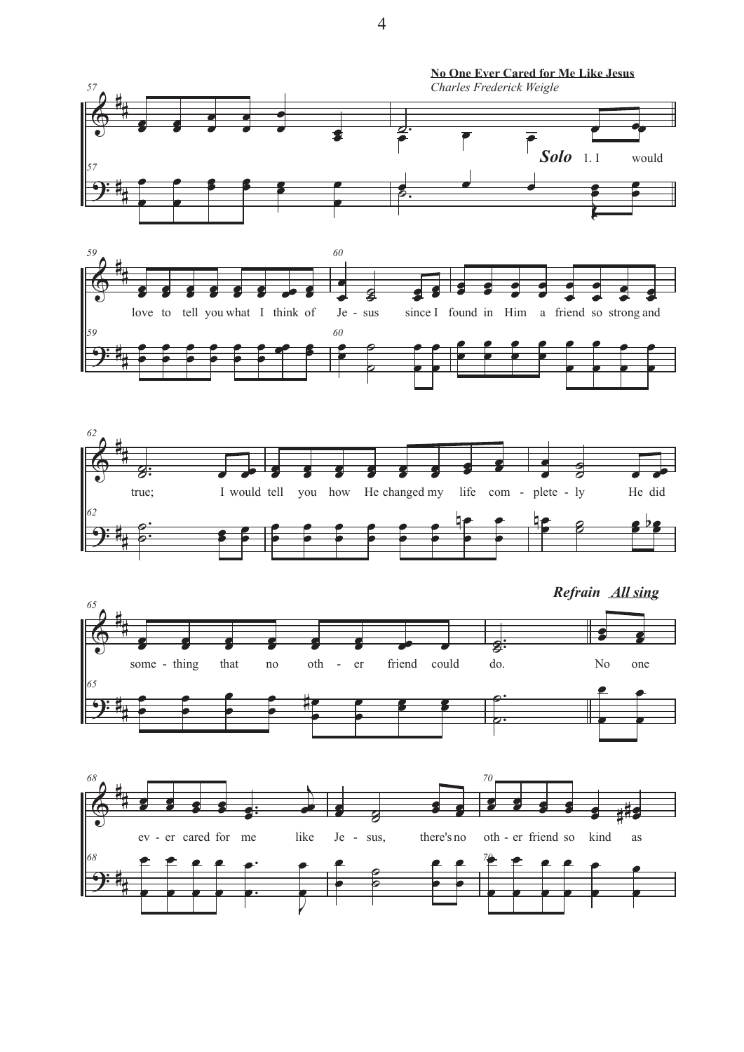









4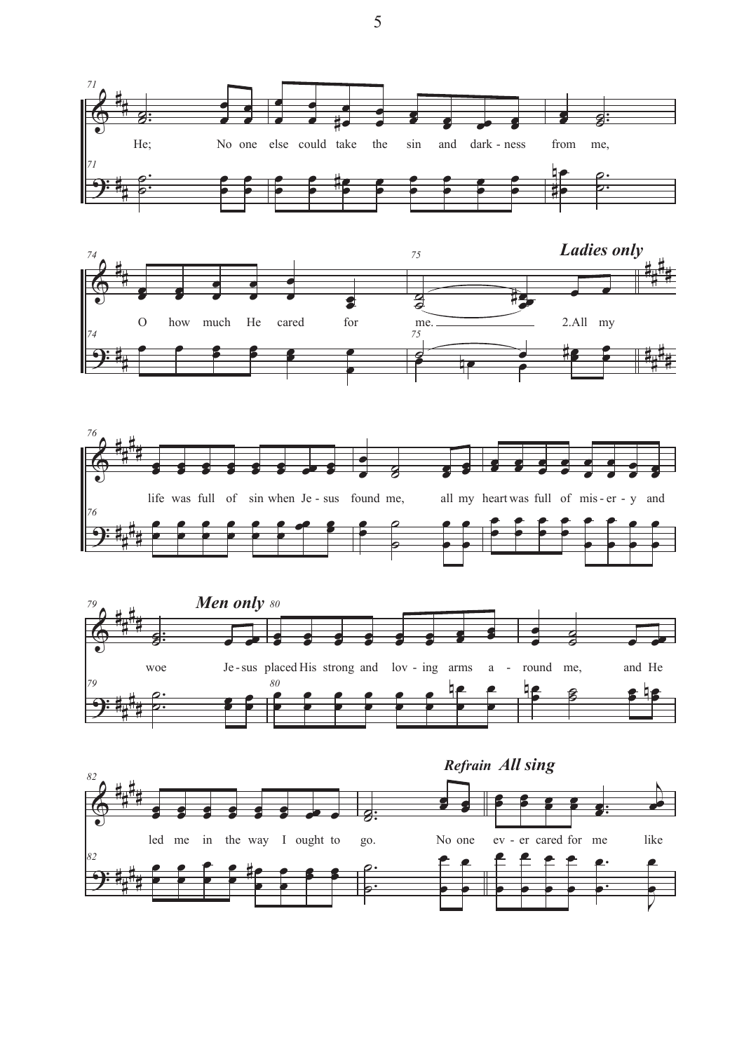









5